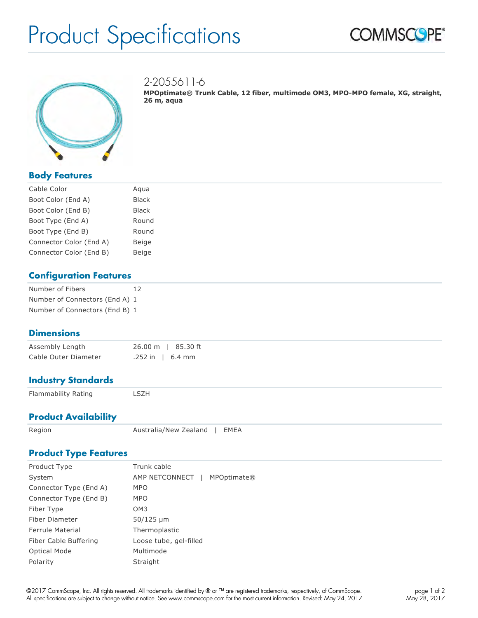# Product Specifications





2-2055611-6

**MPOptimate® Trunk Cable, 12 fiber, multimode OM3, MPO-MPO female, XG, straight, 26 m, aqua**

## **Body Features**

| Cable Color             | Agua         |
|-------------------------|--------------|
| Boot Color (End A)      | <b>Black</b> |
| Boot Color (End B)      | Black        |
| Boot Type (End A)       | Round        |
| Boot Type (End B)       | Round        |
| Connector Color (End A) | Beige        |
| Connector Color (End B) | Beige        |

#### **Configuration Features**

| Number of Fibers               | 12 |
|--------------------------------|----|
| Number of Connectors (End A) 1 |    |
| Number of Connectors (End B) 1 |    |

#### **Dimensions**

| Assembly Length      |                    | 26.00 m   85.30 ft |
|----------------------|--------------------|--------------------|
| Cable Outer Diameter | $.252$ in   6.4 mm |                    |

### **Industry Standards**

Flammability Rating **LSZH** 

#### **Product Availability**

Region **Australia/New Zealand | EMEA** 

### **Product Type Features**

| Product Type           | Trunk cable                     |
|------------------------|---------------------------------|
| System                 | AMP NETCONNECT  <br>MPOptimate® |
| Connector Type (End A) | <b>MPO</b>                      |
| Connector Type (End B) | <b>MPO</b>                      |
| Fiber Type             | OM <sub>3</sub>                 |
| <b>Fiber Diameter</b>  | 50/125 µm                       |
| Ferrule Material       | Thermoplastic                   |
| Fiber Cable Buffering  | Loose tube, gel-filled          |
| <b>Optical Mode</b>    | Multimode                       |
| Polarity               | Straight                        |